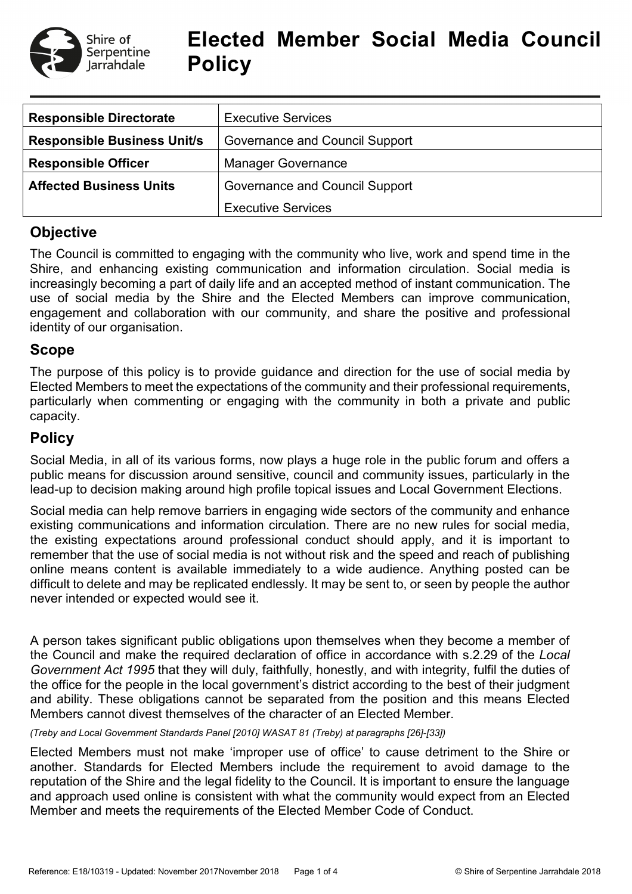

# **Elected Member Social Media Council Policy**

| <b>Responsible Directorate</b>                                   | <b>Executive Services</b>      |  |  |
|------------------------------------------------------------------|--------------------------------|--|--|
| <b>Responsible Business Unit/s</b>                               | Governance and Council Support |  |  |
| <b>Responsible Officer</b>                                       | <b>Manager Governance</b>      |  |  |
| <b>Affected Business Units</b><br>Governance and Council Support |                                |  |  |
|                                                                  | <b>Executive Services</b>      |  |  |

# **Objective**

The Council is committed to engaging with the community who live, work and spend time in the Shire, and enhancing existing communication and information circulation. Social media is increasingly becoming a part of daily life and an accepted method of instant communication. The use of social media by the Shire and the Elected Members can improve communication, engagement and collaboration with our community, and share the positive and professional identity of our organisation.

# **Scope**

The purpose of this policy is to provide guidance and direction for the use of social media by Elected Members to meet the expectations of the community and their professional requirements, particularly when commenting or engaging with the community in both a private and public capacity.

# **Policy**

Social Media, in all of its various forms, now plays a huge role in the public forum and offers a public means for discussion around sensitive, council and community issues, particularly in the lead-up to decision making around high profile topical issues and Local Government Elections.

Social media can help remove barriers in engaging wide sectors of the community and enhance existing communications and information circulation. There are no new rules for social media, the existing expectations around professional conduct should apply, and it is important to remember that the use of social media is not without risk and the speed and reach of publishing online means content is available immediately to a wide audience. Anything posted can be difficult to delete and may be replicated endlessly. It may be sent to, or seen by people the author never intended or expected would see it.

A person takes significant public obligations upon themselves when they become a member of the Council and make the required declaration of office in accordance with s.2.29 of the *Local Government Act 1995* that they will duly, faithfully, honestly, and with integrity, fulfil the duties of the office for the people in the local government's district according to the best of their judgment and ability. These obligations cannot be separated from the position and this means Elected Members cannot divest themselves of the character of an Elected Member.

*(Treby and Local Government Standards Panel [2010] WASAT 81 (Treby) at paragraphs [26]-[33])*

Elected Members must not make 'improper use of office' to cause detriment to the Shire or another. Standards for Elected Members include the requirement to avoid damage to the reputation of the Shire and the legal fidelity to the Council. It is important to ensure the language and approach used online is consistent with what the community would expect from an Elected Member and meets the requirements of the Elected Member Code of Conduct.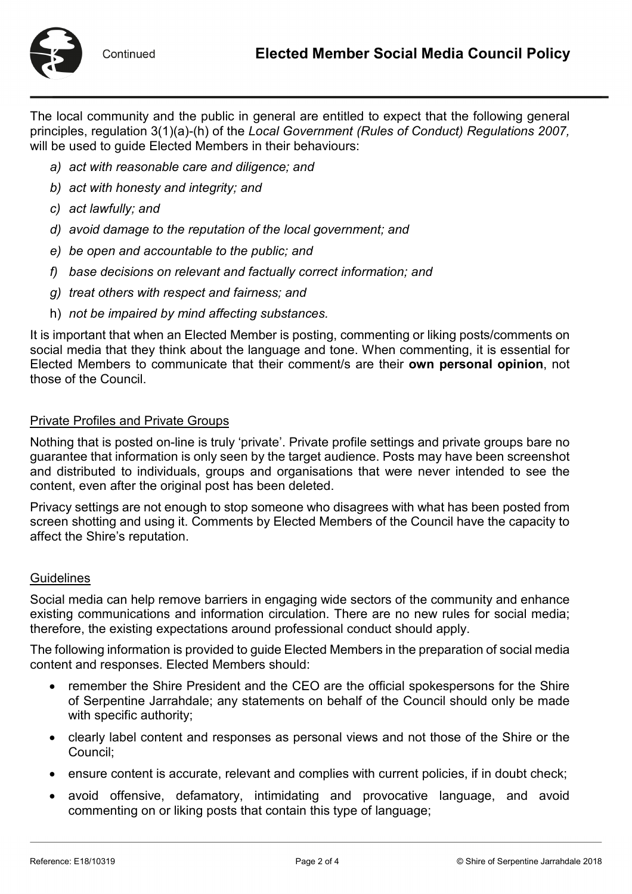

The local community and the public in general are entitled to expect that the following general principles, regulation 3(1)(a)-(h) of the *Local Government (Rules of Conduct) Regulations 2007,*  will be used to guide Elected Members in their behaviours:

- *a) act with reasonable care and diligence; and*
- *b) act with honesty and integrity; and*
- *c) act lawfully; and*
- *d) avoid damage to the reputation of the local government; and*
- *e) be open and accountable to the public; and*
- *f) base decisions on relevant and factually correct information; and*
- *g) treat others with respect and fairness; and*
- h) *not be impaired by mind affecting substances.*

It is important that when an Elected Member is posting, commenting or liking posts/comments on social media that they think about the language and tone. When commenting, it is essential for Elected Members to communicate that their comment/s are their **own personal opinion**, not those of the Council.

#### Private Profiles and Private Groups

Nothing that is posted on-line is truly 'private'. Private profile settings and private groups bare no guarantee that information is only seen by the target audience. Posts may have been screenshot and distributed to individuals, groups and organisations that were never intended to see the content, even after the original post has been deleted.

Privacy settings are not enough to stop someone who disagrees with what has been posted from screen shotting and using it. Comments by Elected Members of the Council have the capacity to affect the Shire's reputation.

#### **Guidelines**

Social media can help remove barriers in engaging wide sectors of the community and enhance existing communications and information circulation. There are no new rules for social media; therefore, the existing expectations around professional conduct should apply.

The following information is provided to guide Elected Members in the preparation of social media content and responses. Elected Members should:

- remember the Shire President and the CEO are the official spokespersons for the Shire of Serpentine Jarrahdale; any statements on behalf of the Council should only be made with specific authority;
- clearly label content and responses as personal views and not those of the Shire or the Council;
- ensure content is accurate, relevant and complies with current policies, if in doubt check;
- avoid offensive, defamatory, intimidating and provocative language, and avoid commenting on or liking posts that contain this type of language;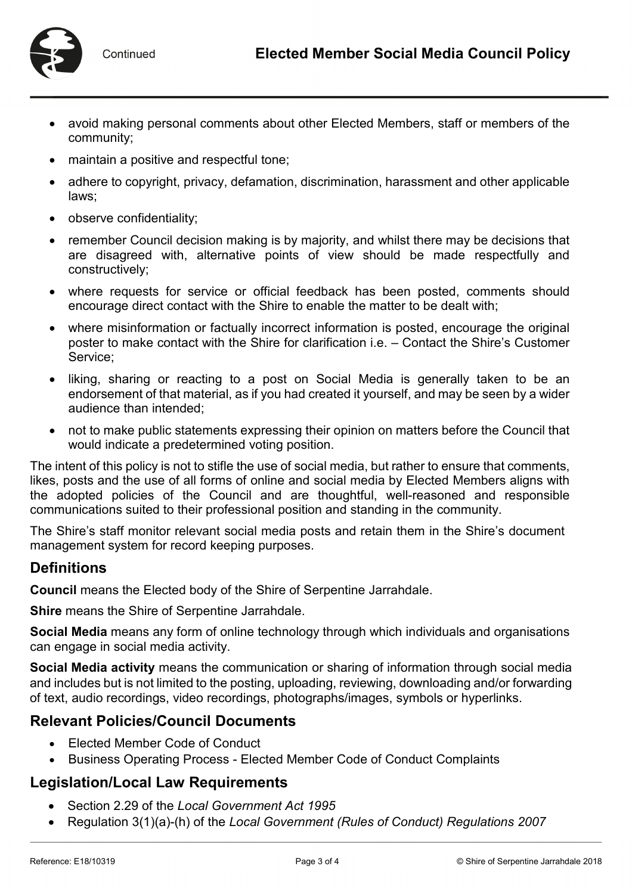

- avoid making personal comments about other Elected Members, staff or members of the community;
- maintain a positive and respectful tone;
- adhere to copyright, privacy, defamation, discrimination, harassment and other applicable laws;
- observe confidentiality;
- remember Council decision making is by majority, and whilst there may be decisions that are disagreed with, alternative points of view should be made respectfully and constructively;
- where requests for service or official feedback has been posted, comments should encourage direct contact with the Shire to enable the matter to be dealt with;
- where misinformation or factually incorrect information is posted, encourage the original poster to make contact with the Shire for clarification i.e. – Contact the Shire's Customer Service;
- liking, sharing or reacting to a post on Social Media is generally taken to be an endorsement of that material, as if you had created it yourself, and may be seen by a wider audience than intended;
- not to make public statements expressing their opinion on matters before the Council that would indicate a predetermined voting position.

The intent of this policy is not to stifle the use of social media, but rather to ensure that comments, likes, posts and the use of all forms of online and social media by Elected Members aligns with the adopted policies of the Council and are thoughtful, well-reasoned and responsible communications suited to their professional position and standing in the community.

The Shire's staff monitor relevant social media posts and retain them in the Shire's document management system for record keeping purposes.

## **Definitions**

**Council** means the Elected body of the Shire of Serpentine Jarrahdale.

**Shire** means the Shire of Serpentine Jarrahdale.

**Social Media** means any form of online technology through which individuals and organisations can engage in social media activity.

**Social Media activity** means the communication or sharing of information through social media and includes but is not limited to the posting, uploading, reviewing, downloading and/or forwarding of text, audio recordings, video recordings, photographs/images, symbols or hyperlinks.

## **Relevant Policies/Council Documents**

- Elected Member Code of Conduct
- Business Operating Process Elected Member Code of Conduct Complaints

## **Legislation/Local Law Requirements**

- Section 2.29 of the *Local Government Act 1995*
- Regulation 3(1)(a)-(h) of the *Local Government (Rules of Conduct) Regulations 2007*